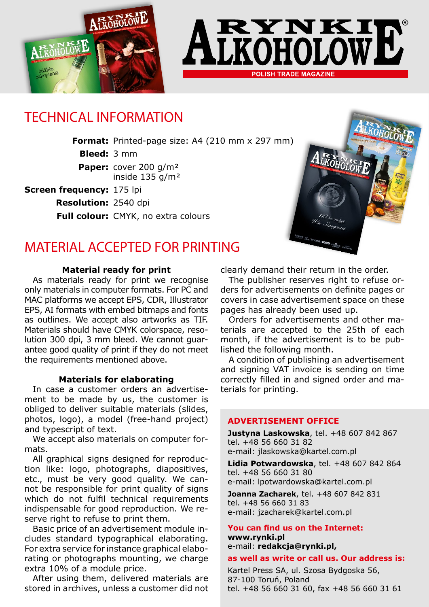



# TECHNICAL INFORMATION

**Format:** Printed-page size: A4 (210 mm x 297 mm)

**Bleed:** 3 mm

**Paper:** cover 200 g/m² inside 135 g/m²

**Screen frequency:** 175 lpi

**Resolution:** 2540 dpi

**Full colour:** CMYK, no extra colours



## MATERIAL ACCEPTED FOR PRINTING

#### **Material ready for print**

As materials ready for print we recognise only materials in computer formats. For PC and MAC platforms we accept EPS, CDR, Illustrator EPS, AI formats with embed bitmaps and fonts as outlines. We accept also artworks as TIF. Materials should have CMYK colorspace, resolution 300 dpi, 3 mm bleed. We cannot guarantee good quality of print if they do not meet the requirements mentioned above.

#### **Materials for elaborating**

In case a customer orders an advertisement to be made by us, the customer is obliged to deliver suitable materials (slides, photos, logo), a model (free-hand project) and typescript of text.

We accept also materials on computer formats.

All graphical signs designed for reproduction like: logo, photographs, diapositives, etc., must be very good quality. We cannot be responsible for print quality of signs which do not fulfil technical requirements indispensable for good reproduction. We reserve right to refuse to print them.

Basic price of an advertisement module includes standard typographical elaborating. For extra service for instance graphical elaborating or photographs mounting, we charge extra 10% of a module price.

After using them, delivered materials are stored in archives, unless a customer did not clearly demand their return in the order.

The publisher reserves right to refuse orders for advertisements on definite pages or covers in case advertisement space on these pages has already been used up.

Orders for advertisements and other materials are accepted to the 25th of each month, if the advertisement is to be published the following month.

A condition of publishing an advertisement and signing VAT invoice is sending on time correctly filled in and signed order and materials for printing.

#### **ADVERTISEMENT OFFICE**

**Justyna Laskowska**, tel. +48 607 842 867 tel. +48 56 660 31 82 e-mail: jlaskowska@kartel.com.pl

**Lidia Potwardowska**, tel. +48 607 842 864 tel. +48 56 660 31 80 e-mail: lpotwardowska@kartel.com.pl

**Joanna Zacharek**, tel. +48 607 842 831 tel. +48 56 660 31 83 e-mail: jzacharek@kartel.com.pl

**You can find us on the Internet: www.rynki.pl** e-mail: **redakcja@rynki.pl,**

#### **as well as write or call us. Our address is:**

Kartel Press SA, ul. Szosa Bydgoska 56, 87-100 Toruń, Poland tel. +48 56 660 31 60, fax +48 56 660 31 61